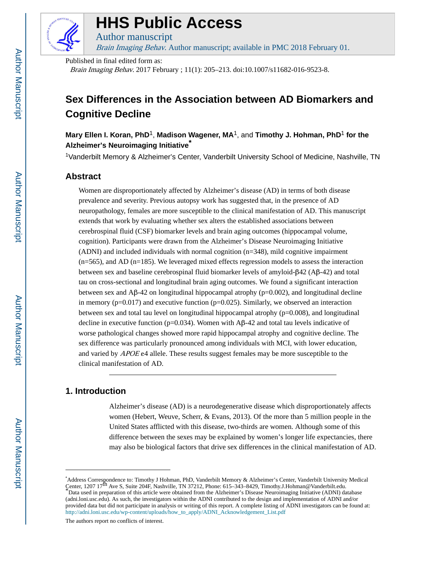

# **HHS Public Access**

Author manuscript Brain Imaging Behav. Author manuscript; available in PMC 2018 February 01.

Published in final edited form as:

Brain Imaging Behav. 2017 February ; 11(1): 205–213. doi:10.1007/s11682-016-9523-8.

## **Sex Differences in the Association between AD Biomarkers and Cognitive Decline**

**Mary Ellen I. Koran, PhD<sup>1</sup>, Madison Wagener, MA<sup>1</sup>, and Timothy J. Hohman, PhD<sup>1</sup> for the Alzheimer's Neuroimaging Initiative\***

<sup>1</sup>Vanderbilt Memory & Alzheimer's Center, Vanderbilt University School of Medicine, Nashville, TN

## **Abstract**

Women are disproportionately affected by Alzheimer's disease (AD) in terms of both disease prevalence and severity. Previous autopsy work has suggested that, in the presence of AD neuropathology, females are more susceptible to the clinical manifestation of AD. This manuscript extends that work by evaluating whether sex alters the established associations between cerebrospinal fluid (CSF) biomarker levels and brain aging outcomes (hippocampal volume, cognition). Participants were drawn from the Alzheimer's Disease Neuroimaging Initiative (ADNI) and included individuals with normal cognition (n=348), mild cognitive impairment  $(n=565)$ , and AD  $(n=185)$ . We leveraged mixed effects regression models to assess the interaction between sex and baseline cerebrospinal fluid biomarker levels of amyloid-β42 (Aβ-42) and total tau on cross-sectional and longitudinal brain aging outcomes. We found a significant interaction between sex and  $\Delta \beta$ -42 on longitudinal hippocampal atrophy ( $p=0.002$ ), and longitudinal decline in memory ( $p=0.017$ ) and executive function ( $p=0.025$ ). Similarly, we observed an interaction between sex and total tau level on longitudinal hippocampal atrophy (p=0.008), and longitudinal decline in executive function ( $p=0.034$ ). Women with Aβ-42 and total tau levels indicative of worse pathological changes showed more rapid hippocampal atrophy and cognitive decline. The sex difference was particularly pronounced among individuals with MCI, with lower education, and varied by  $APOE$  e4 allele. These results suggest females may be more susceptible to the clinical manifestation of AD.

## **1. Introduction**

Alzheimer's disease (AD) is a neurodegenerative disease which disproportionately affects women (Hebert, Weuve, Scherr, & Evans, 2013). Of the more than 5 million people in the United States afflicted with this disease, two-thirds are women. Although some of this difference between the sexes may be explained by women's longer life expectancies, there may also be biological factors that drive sex differences in the clinical manifestation of AD.

Address Correspondence to: Timothy J Hohman, PhD, Vanderbilt Memory & Alzheimer's Center, Vanderbilt University Medical Center, 1207 17<sup>th</sup> Ave S, Suite 204F, Nashville, TN 37212, Phone: 615–343–8429, Timothy.J.Hohman@Vand \*Data used in preparation of this article were obtained from the Alzheimer's Disease Neuroimaging Initiative (ADNI) database (adni.loni.usc.edu). As such, the investigators within the ADNI contributed to the design and implementation of ADNI and/or provided data but did not participate in analysis or writing of this report. A complete listing of ADNI investigators can be found at: [http://adni.loni.usc.edu/wp-content/uploads/how\\_to\\_apply/ADNI\\_Acknowledgement\\_List.pdf](http://adni.loni.usc.edu/wp-content/uploads/how_to_apply/ADNI_Acknowledgement_List.pdf)

The authors report no conflicts of interest.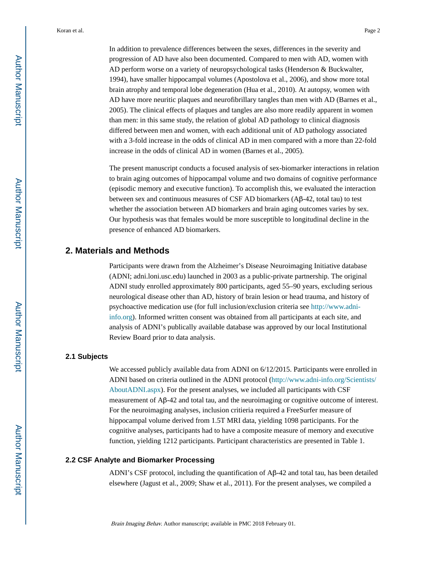In addition to prevalence differences between the sexes, differences in the severity and progression of AD have also been documented. Compared to men with AD, women with AD perform worse on a variety of neuropsychological tasks (Henderson & Buckwalter, 1994), have smaller hippocampal volumes (Apostolova et al., 2006), and show more total brain atrophy and temporal lobe degeneration (Hua et al., 2010). At autopsy, women with AD have more neuritic plaques and neurofibrillary tangles than men with AD (Barnes et al., 2005). The clinical effects of plaques and tangles are also more readily apparent in women than men: in this same study, the relation of global AD pathology to clinical diagnosis differed between men and women, with each additional unit of AD pathology associated with a 3-fold increase in the odds of clinical AD in men compared with a more than 22-fold increase in the odds of clinical AD in women (Barnes et al., 2005).

The present manuscript conducts a focused analysis of sex-biomarker interactions in relation to brain aging outcomes of hippocampal volume and two domains of cognitive performance (episodic memory and executive function). To accomplish this, we evaluated the interaction between sex and continuous measures of CSF AD biomarkers (Aβ-42, total tau) to test whether the association between AD biomarkers and brain aging outcomes varies by sex. Our hypothesis was that females would be more susceptible to longitudinal decline in the presence of enhanced AD biomarkers.

### **2. Materials and Methods**

Participants were drawn from the Alzheimer's Disease Neuroimaging Initiative database (ADNI; adni.loni.usc.edu) launched in 2003 as a public-private partnership. The original ADNI study enrolled approximately 800 participants, aged 55–90 years, excluding serious neurological disease other than AD, history of brain lesion or head trauma, and history of psychoactive medication use (for full inclusion/exclusion criteria see [http://www.adni](http://www.adni-info.org)[info.org\)](http://www.adni-info.org). Informed written consent was obtained from all participants at each site, and analysis of ADNI's publically available database was approved by our local Institutional Review Board prior to data analysis.

#### **2.1 Subjects**

We accessed publicly available data from ADNI on  $6/12/2015$ . Participants were enrolled in ADNI based on criteria outlined in the ADNI protocol [\(http://www.adni-info.org/Scientists/](http://www.adni-info.org/Scientists/AboutADNI.aspx) [AboutADNI.aspx\)](http://www.adni-info.org/Scientists/AboutADNI.aspx). For the present analyses, we included all participants with CSF measurement of Aβ-42 and total tau, and the neuroimaging or cognitive outcome of interest. For the neuroimaging analyses, inclusion critieria required a FreeSurfer measure of hippocampal volume derived from 1.5T MRI data, yielding 1098 participants. For the cognitive analyses, participants had to have a composite measure of memory and executive function, yielding 1212 participants. Participant characteristics are presented in Table 1.

#### **2.2 CSF Analyte and Biomarker Processing**

ADNI's CSF protocol, including the quantification of Aβ-42 and total tau, has been detailed elsewhere (Jagust et al., 2009; Shaw et al., 2011). For the present analyses, we compiled a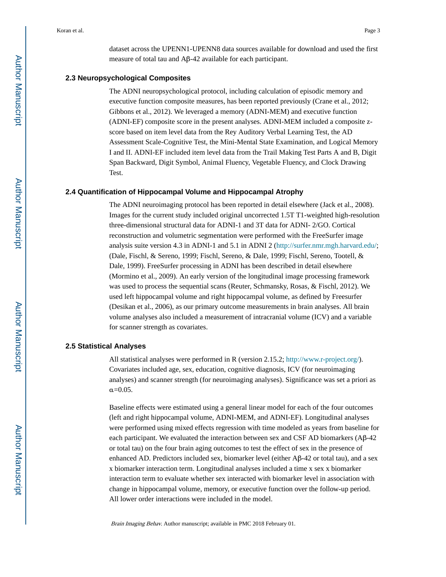dataset across the UPENN1-UPENN8 data sources available for download and used the first measure of total tau and Aβ-42 available for each participant.

#### **2.3 Neuropsychological Composites**

The ADNI neuropsychological protocol, including calculation of episodic memory and executive function composite measures, has been reported previously (Crane et al., 2012; Gibbons et al., 2012). We leveraged a memory (ADNI-MEM) and executive function (ADNI-EF) composite score in the present analyses. ADNI-MEM included a composite zscore based on item level data from the Rey Auditory Verbal Learning Test, the AD Assessment Scale-Cognitive Test, the Mini-Mental State Examination, and Logical Memory I and II. ADNI-EF included item level data from the Trail Making Test Parts A and B, Digit Span Backward, Digit Symbol, Animal Fluency, Vegetable Fluency, and Clock Drawing Test.

#### **2.4 Quantification of Hippocampal Volume and Hippocampal Atrophy**

The ADNI neuroimaging protocol has been reported in detail elsewhere (Jack et al., 2008). Images for the current study included original uncorrected 1.5T T1-weighted high-resolution three-dimensional structural data for ADNI-1 and 3T data for ADNI- 2/GO. Cortical reconstruction and volumetric segmentation were performed with the FreeSurfer image analysis suite version 4.3 in ADNI-1 and 5.1 in ADNI 2 (<http://surfer.nmr.mgh.harvard.edu/>; (Dale, Fischl, & Sereno, 1999; Fischl, Sereno, & Dale, 1999; Fischl, Sereno, Tootell, & Dale, 1999). FreeSurfer processing in ADNI has been described in detail elsewhere (Mormino et al., 2009). An early version of the longitudinal image processing framework was used to process the sequential scans (Reuter, Schmansky, Rosas, & Fischl, 2012). We used left hippocampal volume and right hippocampal volume, as defined by Freesurfer (Desikan et al., 2006), as our primary outcome measurements in brain analyses. All brain volume analyses also included a measurement of intracranial volume (ICV) and a variable for scanner strength as covariates.

#### **2.5 Statistical Analyses**

All statistical analyses were performed in R (version 2.15.2; [http://www.r-project.org/\)](http://www.r-project.org/). Covariates included age, sex, education, cognitive diagnosis, ICV (for neuroimaging analyses) and scanner strength (for neuroimaging analyses). Significance was set a priori as  $a=0.05$ .

Baseline effects were estimated using a general linear model for each of the four outcomes (left and right hippocampal volume, ADNI-MEM, and ADNI-EF). Longitudinal analyses were performed using mixed effects regression with time modeled as years from baseline for each participant. We evaluated the interaction between sex and CSF AD biomarkers (Aβ-42 or total tau) on the four brain aging outcomes to test the effect of sex in the presence of enhanced AD. Predictors included sex, biomarker level (either Aβ-42 or total tau), and a sex x biomarker interaction term. Longitudinal analyses included a time x sex x biomarker interaction term to evaluate whether sex interacted with biomarker level in association with change in hippocampal volume, memory, or executive function over the follow-up period. All lower order interactions were included in the model.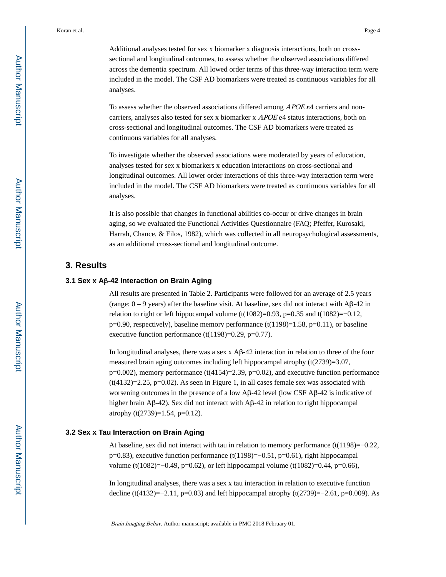Additional analyses tested for sex x biomarker x diagnosis interactions, both on crosssectional and longitudinal outcomes, to assess whether the observed associations differed across the dementia spectrum. All lowed order terms of this three-way interaction term were included in the model. The CSF AD biomarkers were treated as continuous variables for all analyses.

To assess whether the observed associations differed among APOE e4 carriers and noncarriers, analyses also tested for sex x biomarker x APOE e4 status interactions, both on cross-sectional and longitudinal outcomes. The CSF AD biomarkers were treated as continuous variables for all analyses.

To investigate whether the observed associations were moderated by years of education, analyses tested for sex x biomarkers x education interactions on cross-sectional and longitudinal outcomes. All lower order interactions of this three-way interaction term were included in the model. The CSF AD biomarkers were treated as continuous variables for all analyses.

It is also possible that changes in functional abilities co-occur or drive changes in brain aging, so we evaluated the Functional Activities Questionnaire (FAQ; Pfeffer, Kurosaki, Harrah, Chance, & Filos, 1982), which was collected in all neuropsychological assessments, as an additional cross-sectional and longitudinal outcome.

## **3. Results**

#### **3.1 Sex x A**β**-42 Interaction on Brain Aging**

All results are presented in Table 2. Participants were followed for an average of 2.5 years (range: 0 – 9 years) after the baseline visit. At baseline, sex did not interact with Aβ-42 in relation to right or left hippocampal volume (t(1082)=0.93, p=0.35 and t(1082)=−0.12,  $p=0.90$ , respectively), baseline memory performance (t(1198)=1.58, p=0.11), or baseline executive function performance  $(t(1198)=0.29, p=0.77)$ .

In longitudinal analyses, there was a sex x Aβ-42 interaction in relation to three of the four measured brain aging outcomes including left hippocampal atrophy (t(2739)=3.07,  $p=0.002$ ), memory performance (t(4154)=2.39,  $p=0.02$ ), and executive function performance  $(t(4132)=2.25, p=0.02)$ . As seen in Figure 1, in all cases female sex was associated with worsening outcomes in the presence of a low Aβ-42 level (low CSF Aβ-42 is indicative of higher brain Aβ-42). Sex did not interact with Aβ-42 in relation to right hippocampal atrophy  $(t(2739)=1.54, p=0.12)$ .

#### **3.2 Sex x Tau Interaction on Brain Aging**

At baseline, sex did not interact with tau in relation to memory performance (t(1198)=–0.22, p=0.83), executive function performance (t(1198)=−0.51, p=0.61), right hippocampal volume (t(1082)=−0.49, p=0.62), or left hippocampal volume (t(1082)=0.44, p=0.66),

In longitudinal analyses, there was a sex x tau interaction in relation to executive function decline (t(4132)=−2.11, p=0.03) and left hippocampal atrophy (t(2739)=−2.61, p=0.009). As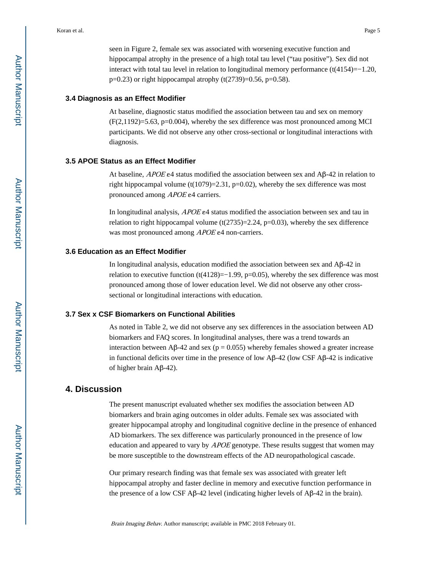seen in Figure 2, female sex was associated with worsening executive function and hippocampal atrophy in the presence of a high total tau level ("tau positive"). Sex did not interact with total tau level in relation to longitudinal memory performance (t(4154)=−1.20,  $p=0.23$ ) or right hippocampal atrophy (t(2739)=0.56, p=0.58).

#### **3.4 Diagnosis as an Effect Modifier**

At baseline, diagnostic status modified the association between tau and sex on memory  $(F(2,1192)=5.63, p=0.004)$ , whereby the sex difference was most pronounced among MCI participants. We did not observe any other cross-sectional or longitudinal interactions with diagnosis.

#### **3.5 APOE Status as an Effect Modifier**

At baseline,  $APOE$  e4 status modified the association between sex and Aβ-42 in relation to right hippocampal volume (t(1079)=2.31, p=0.02), whereby the sex difference was most pronounced among APOE ε4 carriers.

In longitudinal analysis, APOE ε4 status modified the association between sex and tau in relation to right hippocampal volume (t(2735)=2.24, p=0.03), whereby the sex difference was most pronounced among APOE ε4 non-carriers.

#### **3.6 Education as an Effect Modifier**

In longitudinal analysis, education modified the association between sex and Aβ-42 in relation to executive function (t(4128)=−1.99, p=0.05), whereby the sex difference was most pronounced among those of lower education level. We did not observe any other crosssectional or longitudinal interactions with education.

#### **3.7 Sex x CSF Biomarkers on Functional Abilities**

As noted in Table 2, we did not observe any sex differences in the association between AD biomarkers and FAQ scores. In longitudinal analyses, there was a trend towards an interaction between Aβ-42 and sex ( $p = 0.055$ ) whereby females showed a greater increase in functional deficits over time in the presence of low Aβ-42 (low CSF Aβ-42 is indicative of higher brain Aβ-42).

## **4. Discussion**

The present manuscript evaluated whether sex modifies the association between AD biomarkers and brain aging outcomes in older adults. Female sex was associated with greater hippocampal atrophy and longitudinal cognitive decline in the presence of enhanced AD biomarkers. The sex difference was particularly pronounced in the presence of low education and appeared to vary by *APOE* genotype. These results suggest that women may be more susceptible to the downstream effects of the AD neuropathological cascade.

Our primary research finding was that female sex was associated with greater left hippocampal atrophy and faster decline in memory and executive function performance in the presence of a low CSF Aβ-42 level (indicating higher levels of Aβ-42 in the brain).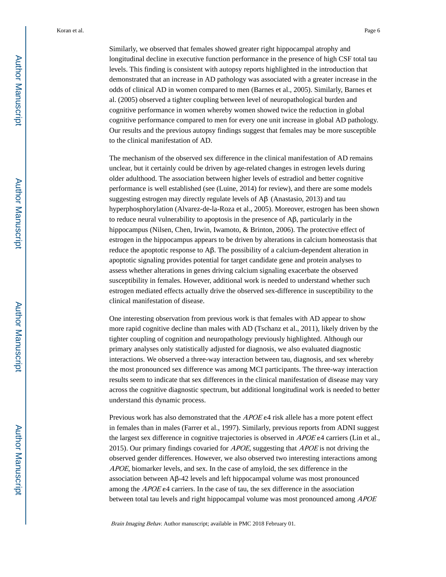Similarly, we observed that females showed greater right hippocampal atrophy and longitudinal decline in executive function performance in the presence of high CSF total tau levels. This finding is consistent with autopsy reports highlighted in the introduction that demonstrated that an increase in AD pathology was associated with a greater increase in the odds of clinical AD in women compared to men (Barnes et al., 2005). Similarly, Barnes et al. (2005) observed a tighter coupling between level of neuropathological burden and cognitive performance in women whereby women showed twice the reduction in global cognitive performance compared to men for every one unit increase in global AD pathology. Our results and the previous autopsy findings suggest that females may be more susceptible to the clinical manifestation of AD.

The mechanism of the observed sex difference in the clinical manifestation of AD remains unclear, but it certainly could be driven by age-related changes in estrogen levels during older adulthood. The association between higher levels of estradiol and better cognitive performance is well established (see (Luine, 2014) for review), and there are some models suggesting estrogen may directly regulate levels of  $\mathsf{AB}$  (Anastasio, 2013) and tau hyperphosphorylation (Alvarez-de-la-Roza et al., 2005). Moreover, estrogen has been shown to reduce neural vulnerability to apoptosis in the presence of Aβ, particularly in the hippocampus (Nilsen, Chen, Irwin, Iwamoto, & Brinton, 2006). The protective effect of estrogen in the hippocampus appears to be driven by alterations in calcium homeostasis that reduce the apoptotic response to Aβ. The possibility of a calcium-dependent alteration in apoptotic signaling provides potential for target candidate gene and protein analyses to assess whether alterations in genes driving calcium signaling exacerbate the observed susceptibility in females. However, additional work is needed to understand whether such estrogen mediated effects actually drive the observed sex-difference in susceptibility to the clinical manifestation of disease.

One interesting observation from previous work is that females with AD appear to show more rapid cognitive decline than males with AD (Tschanz et al., 2011), likely driven by the tighter coupling of cognition and neuropathology previously highlighted. Although our primary analyses only statistically adjusted for diagnosis, we also evaluated diagnostic interactions. We observed a three-way interaction between tau, diagnosis, and sex whereby the most pronounced sex difference was among MCI participants. The three-way interaction results seem to indicate that sex differences in the clinical manifestation of disease may vary across the cognitive diagnostic spectrum, but additional longitudinal work is needed to better understand this dynamic process.

Previous work has also demonstrated that the APOE e4 risk allele has a more potent effect in females than in males (Farrer et al., 1997). Similarly, previous reports from ADNI suggest the largest sex difference in cognitive trajectories is observed in APOE ε4 carriers (Lin et al., 2015). Our primary findings covaried for *APOE*, suggesting that *APOE* is not driving the observed gender differences. However, we also observed two interesting interactions among APOE, biomarker levels, and sex. In the case of amyloid, the sex difference in the association between Aβ-42 levels and left hippocampal volume was most pronounced among the APOE ε4 carriers. In the case of tau, the sex difference in the association between total tau levels and right hippocampal volume was most pronounced among APOE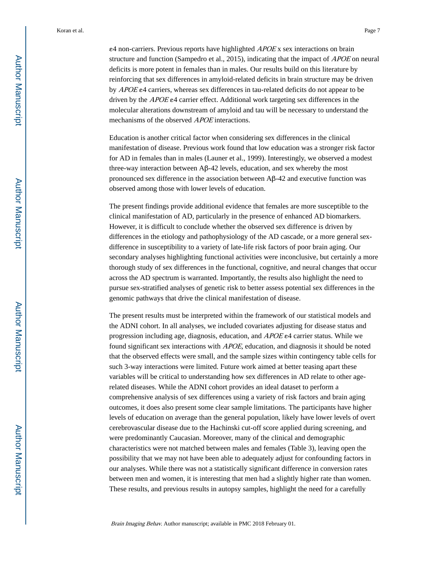$\varepsilon$ 4 non-carriers. Previous reports have highlighted  $APOEx$  sex interactions on brain structure and function (Sampedro et al., 2015), indicating that the impact of *APOE* on neural deficits is more potent in females than in males. Our results build on this literature by reinforcing that sex differences in amyloid-related deficits in brain structure may be driven by APOE ε4 carriers, whereas sex differences in tau-related deficits do not appear to be driven by the APOE ε4 carrier effect. Additional work targeting sex differences in the molecular alterations downstream of amyloid and tau will be necessary to understand the mechanisms of the observed APOE interactions.

Education is another critical factor when considering sex differences in the clinical manifestation of disease. Previous work found that low education was a stronger risk factor for AD in females than in males (Launer et al., 1999). Interestingly, we observed a modest three-way interaction between Aβ-42 levels, education, and sex whereby the most pronounced sex difference in the association between Aβ-42 and executive function was observed among those with lower levels of education.

The present findings provide additional evidence that females are more susceptible to the clinical manifestation of AD, particularly in the presence of enhanced AD biomarkers. However, it is difficult to conclude whether the observed sex difference is driven by differences in the etiology and pathophysiology of the AD cascade, or a more general sexdifference in susceptibility to a variety of late-life risk factors of poor brain aging. Our secondary analyses highlighting functional activities were inconclusive, but certainly a more thorough study of sex differences in the functional, cognitive, and neural changes that occur across the AD spectrum is warranted. Importantly, the results also highlight the need to pursue sex-stratified analyses of genetic risk to better assess potential sex differences in the genomic pathways that drive the clinical manifestation of disease.

The present results must be interpreted within the framework of our statistical models and the ADNI cohort. In all analyses, we included covariates adjusting for disease status and progression including age, diagnosis, education, and  $APOE$  e4 carrier status. While we found significant sex interactions with APOE, education, and diagnosis it should be noted that the observed effects were small, and the sample sizes within contingency table cells for such 3-way interactions were limited. Future work aimed at better teasing apart these variables will be critical to understanding how sex differences in AD relate to other agerelated diseases. While the ADNI cohort provides an ideal dataset to perform a comprehensive analysis of sex differences using a variety of risk factors and brain aging outcomes, it does also present some clear sample limitations. The participants have higher levels of education on average than the general population, likely have lower levels of overt cerebrovascular disease due to the Hachinski cut-off score applied during screening, and were predominantly Caucasian. Moreover, many of the clinical and demographic characteristics were not matched between males and females (Table 3), leaving open the possibility that we may not have been able to adequately adjust for confounding factors in our analyses. While there was not a statistically significant difference in conversion rates between men and women, it is interesting that men had a slightly higher rate than women. These results, and previous results in autopsy samples, highlight the need for a carefully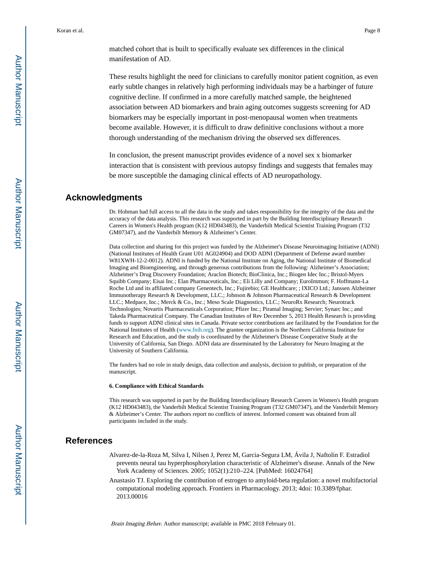matched cohort that is built to specifically evaluate sex differences in the clinical manifestation of AD.

These results highlight the need for clinicians to carefully monitor patient cognition, as even early subtle changes in relatively high performing individuals may be a harbinger of future cognitive decline. If confirmed in a more carefully matched sample, the heightened association between AD biomarkers and brain aging outcomes suggests screening for AD biomarkers may be especially important in post-menopausal women when treatments become available. However, it is difficult to draw definitive conclusions without a more thorough understanding of the mechanism driving the observed sex differences.

In conclusion, the present manuscript provides evidence of a novel sex x biomarker interaction that is consistent with previous autopsy findings and suggests that females may be more susceptible the damaging clinical effects of AD neuropathology.

## **Acknowledgments**

Dr. Hohman had full access to all the data in the study and takes responsibility for the integrity of the data and the accuracy of the data analysis. This research was supported in part by the Building Interdisciplinary Research Careers in Women's Health program (K12 HD043483), the Vanderbilt Medical Scientist Training Program (T32 GM07347), and the Vanderbilt Memory & Alzheimer's Center.

Data collection and sharing for this project was funded by the Alzheimer's Disease Neuroimaging Initiative (ADNI) (National Institutes of Health Grant U01 AG024904) and DOD ADNI (Department of Defense award number W81XWH-12-2-0012). ADNI is funded by the National Institute on Aging, the National Institute of Biomedical Imaging and Bioengineering, and through generous contributions from the following: Alzheimer's Association; Alzheimer's Drug Discovery Foundation; Araclon Biotech; BioClinica, Inc.; Biogen Idec Inc.; Bristol-Myers Squibb Company; Eisai Inc.; Elan Pharmaceuticals, Inc.; Eli Lilly and Company; EuroImmun; F. Hoffmann-La Roche Ltd and its affiliated company Genentech, Inc.; Fujirebio; GE Healthcare; ; IXICO Ltd.; Janssen Alzheimer Immunotherapy Research & Development, LLC.; Johnson & Johnson Pharmaceutical Research & Development LLC.; Medpace, Inc.; Merck & Co., Inc.; Meso Scale Diagnostics, LLC.; NeuroRx Research; Neurotrack Technologies; Novartis Pharmaceuticals Corporation; Pfizer Inc.; Piramal Imaging; Servier; Synarc Inc.; and Takeda Pharmaceutical Company. The Canadian Institutes of Rev December 5, 2013 Health Research is providing funds to support ADNI clinical sites in Canada. Private sector contributions are facilitated by the Foundation for the National Institutes of Health (www.fnih.org). The grantee organization is the Northern California Institute for Research and Education, and the study is coordinated by the Alzheimer's Disease Cooperative Study at the University of California, San Diego. ADNI data are disseminated by the Laboratory for Neuro Imaging at the University of Southern California.

The funders had no role in study design, data collection and analysis, decision to publish, or preparation of the manuscript.

#### **6. Compliance with Ethical Standards**

This research was supported in part by the Building Interdisciplinary Research Careers in Women's Health program (K12 HD043483), the Vanderbilt Medical Scientist Training Program (T32 GM07347), and the Vanderbilt Memory & Alzheimer's Center. The authors report no conflicts of interest. Informed consent was obtained from all participants included in the study.

## **References**

- Alvarez-de-la-Roza M, Silva I, Nilsen J, Perez M, Garcia-Segura LM, Ávila J, Naftolin F. Estradiol prevents neural tau hyperphosphorylation characteristic of Alzheimer's disease. Annals of the New York Academy of Sciences. 2005; 1052(1):210–224. [PubMed: 16024764]
- Anastasio TJ. Exploring the contribution of estrogen to amyloid-beta regulation: a novel multifactorial computational modeling approach. Frontiers in Pharmacology. 2013; 4doi: 10.3389/fphar. 2013.00016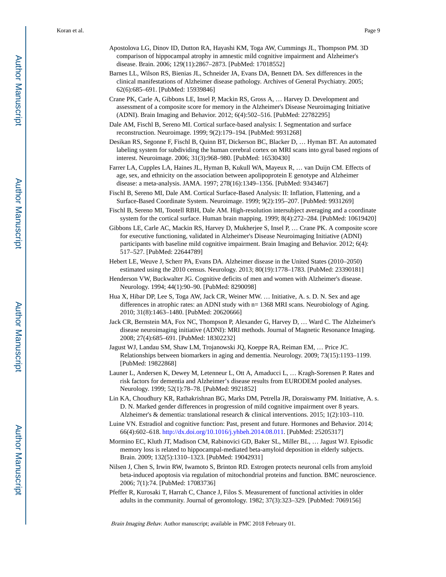- Apostolova LG, Dinov ID, Dutton RA, Hayashi KM, Toga AW, Cummings JL, Thompson PM. 3D comparison of hippocampal atrophy in amnestic mild cognitive impairment and Alzheimer's disease. Brain. 2006; 129(11):2867–2873. [PubMed: 17018552]
- Barnes LL, Wilson RS, Bienias JL, Schneider JA, Evans DA, Bennett DA. Sex differences in the clinical manifestations of Alzheimer disease pathology. Archives of General Psychiatry. 2005; 62(6):685–691. [PubMed: 15939846]
- Crane PK, Carle A, Gibbons LE, Insel P, Mackin RS, Gross A, … Harvey D. Development and assessment of a composite score for memory in the Alzheimer's Disease Neuroimaging Initiative (ADNI). Brain Imaging and Behavior. 2012; 6(4):502–516. [PubMed: 22782295]
- Dale AM, Fischl B, Sereno MI. Cortical surface-based analysis: I. Segmentation and surface reconstruction. Neuroimage. 1999; 9(2):179–194. [PubMed: 9931268]
- Desikan RS, Segonne F, Fischl B, Quinn BT, Dickerson BC, Blacker D, … Hyman BT. An automated labeling system for subdividing the human cerebral cortex on MRI scans into gyral based regions of interest. Neuroimage. 2006; 31(3):968–980. [PubMed: 16530430]
- Farrer LA, Cupples LA, Haines JL, Hyman B, Kukull WA, Mayeux R, … van Duijn CM. Effects of age, sex, and ethnicity on the association between apolipoprotein E genotype and Alzheimer disease: a meta-analysis. JAMA. 1997; 278(16):1349–1356. [PubMed: 9343467]
- Fischl B, Sereno MI, Dale AM. Cortical Surface-Based Analysis: II: Inflation, Flattening, and a Surface-Based Coordinate System. Neuroimage. 1999; 9(2):195–207. [PubMed: 9931269]
- Fischl B, Sereno MI, Tootell RBH, Dale AM. High-resolution intersubject averaging and a coordinate system for the cortical surface. Human brain mapping. 1999; 8(4):272–284. [PubMed: 10619420]
- Gibbons LE, Carle AC, Mackin RS, Harvey D, Mukherjee S, Insel P, … Crane PK. A composite score for executive functioning, validated in Alzheimer's Disease Neuroimaging Initiative (ADNI) participants with baseline mild cognitive impairment. Brain Imaging and Behavior. 2012; 6(4): 517–527. [PubMed: 22644789]
- Hebert LE, Weuve J, Scherr PA, Evans DA. Alzheimer disease in the United States (2010–2050) estimated using the 2010 census. Neurology. 2013; 80(19):1778–1783. [PubMed: 23390181]
- Henderson VW, Buckwalter JG. Cognitive deficits of men and women with Alzheimer's disease. Neurology. 1994; 44(1):90–90. [PubMed: 8290098]
- Hua X, Hibar DP, Lee S, Toga AW, Jack CR, Weiner MW. … Initiative, A. s. D. N. Sex and age differences in atrophic rates: an ADNI study with n= 1368 MRI scans. Neurobiology of Aging. 2010; 31(8):1463–1480. [PubMed: 20620666]
- Jack CR, Bernstein MA, Fox NC, Thompson P, Alexander G, Harvey D, … Ward C. The Alzheimer's disease neuroimaging initiative (ADNI): MRI methods. Journal of Magnetic Resonance Imaging. 2008; 27(4):685–691. [PubMed: 18302232]
- Jagust WJ, Landau SM, Shaw LM, Trojanowski JQ, Koeppe RA, Reiman EM, … Price JC. Relationships between biomarkers in aging and dementia. Neurology. 2009; 73(15):1193–1199. [PubMed: 19822868]
- Launer L, Andersen K, Dewey M, Letenneur L, Ott A, Amaducci L, … Kragh-Sorensen P. Rates and risk factors for dementia and Alzheimer's disease results from EURODEM pooled analyses. Neurology. 1999; 52(1):78–78. [PubMed: 9921852]
- Lin KA, Choudhury KR, Rathakrishnan BG, Marks DM, Petrella JR, Doraiswamy PM. Initiative, A. s. D. N. Marked gender differences in progression of mild cognitive impairment over 8 years. Alzheimer's & dementia: translational research & clinical interventions. 2015; 1(2):103–110.
- Luine VN. Estradiol and cognitive function: Past, present and future. Hormones and Behavior. 2014; 66(4):602–618. [http://dx.doi.org/10.1016/j.yhbeh.2014.08.011.](http://dx.doi.org/10.1016/j.yhbeh.2014.08.011) [PubMed: 25205317]
- Mormino EC, Kluth JT, Madison CM, Rabinovici GD, Baker SL, Miller BL, … Jagust WJ. Episodic memory loss is related to hippocampal-mediated beta-amyloid deposition in elderly subjects. Brain. 2009; 132(5):1310–1323. [PubMed: 19042931]
- Nilsen J, Chen S, Irwin RW, Iwamoto S, Brinton RD. Estrogen protects neuronal cells from amyloid beta-induced apoptosis via regulation of mitochondrial proteins and function. BMC neuroscience. 2006; 7(1):74. [PubMed: 17083736]
- Pfeffer R, Kurosaki T, Harrah C, Chance J, Filos S. Measurement of functional activities in older adults in the community. Journal of gerontology. 1982; 37(3):323–329. [PubMed: 7069156]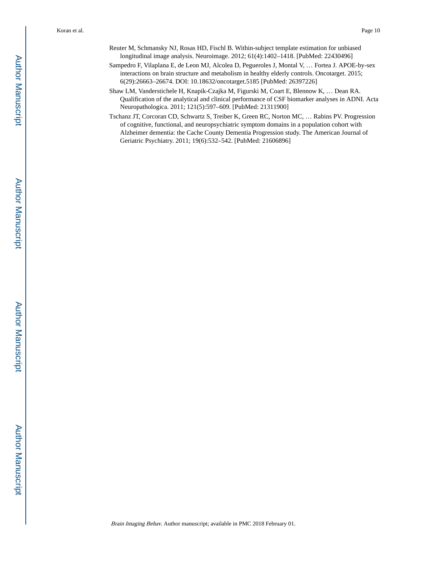- Reuter M, Schmansky NJ, Rosas HD, Fischl B. Within-subject template estimation for unbiased longitudinal image analysis. Neuroimage. 2012; 61(4):1402–1418. [PubMed: 22430496]
- Sampedro F, Vilaplana E, de Leon MJ, Alcolea D, Pegueroles J, Montal V, … Fortea J. APOE-by-sex interactions on brain structure and metabolism in healthy elderly controls. Oncotarget. 2015; 6(29):26663–26674. DOI: 10.18632/oncotarget.5185 [PubMed: 26397226]
- Shaw LM, Vanderstichele H, Knapik-Czajka M, Figurski M, Coart E, Blennow K, … Dean RA. Qualification of the analytical and clinical performance of CSF biomarker analyses in ADNI. Acta Neuropathologica. 2011; 121(5):597–609. [PubMed: 21311900]
- Tschanz JT, Corcoran CD, Schwartz S, Treiber K, Green RC, Norton MC, … Rabins PV. Progression of cognitive, functional, and neuropsychiatric symptom domains in a population cohort with Alzheimer dementia: the Cache County Dementia Progression study. The American Journal of Geriatric Psychiatry. 2011; 19(6):532–542. [PubMed: 21606896]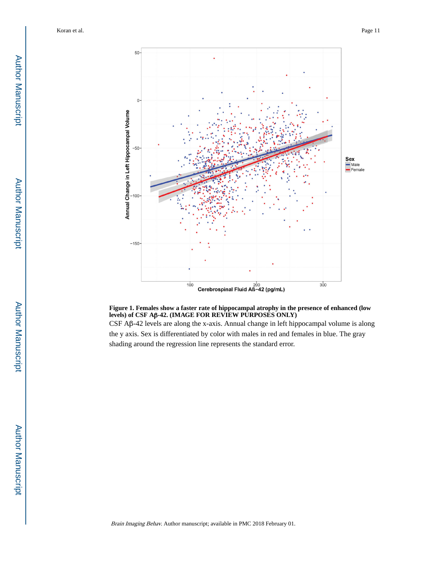



CSF Aβ-42 levels are along the x-axis. Annual change in left hippocampal volume is along the y axis. Sex is differentiated by color with males in red and females in blue. The gray shading around the regression line represents the standard error.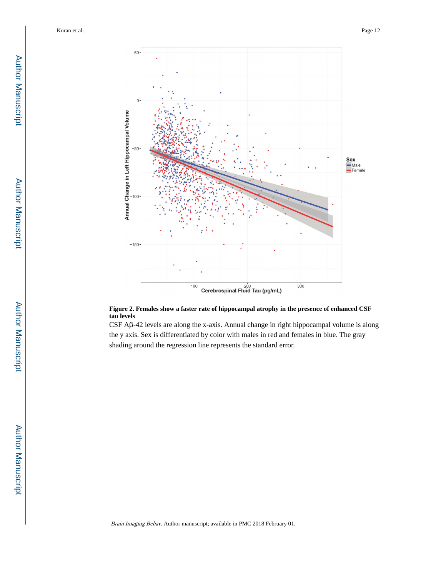

#### **Figure 2. Females show a faster rate of hippocampal atrophy in the presence of enhanced CSF tau levels**

CSF Aβ-42 levels are along the x-axis. Annual change in right hippocampal volume is along the y axis. Sex is differentiated by color with males in red and females in blue. The gray shading around the regression line represents the standard error.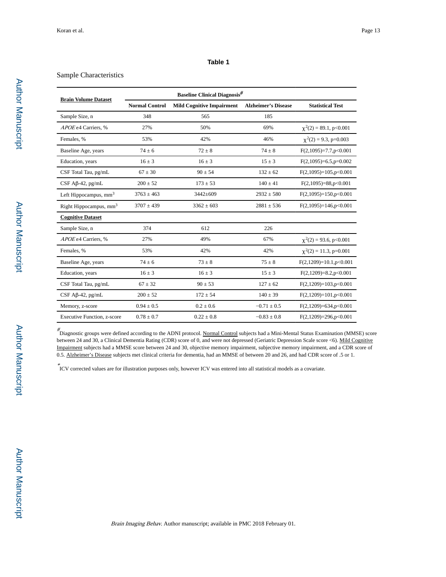#### **Table 1**

#### Sample Characteristics

| <b>Brain Volume Dataset</b>         |                                                           |                |                            |                               |
|-------------------------------------|-----------------------------------------------------------|----------------|----------------------------|-------------------------------|
|                                     | <b>Normal Control</b><br><b>Mild Cognitive Impairment</b> |                | <b>Alzheimer's Disease</b> | <b>Statistical Test</b>       |
| Sample Size, n                      | 348                                                       | 565            | 185                        |                               |
| APOE e4 Carriers, %                 | 27%                                                       | 50%            | 69%                        | $\chi^2(2) = 89.1$ , p<0.001  |
| Females, %                          | 53%                                                       | 42%            | 46%                        | $\chi^2(2) = 9.3$ , p=0.003   |
| Baseline Age, years                 | $74 \pm 6$                                                | $72 \pm 8$     | $74 \pm 8$                 | $F(2,1095)=7.7, p<0.001$      |
| Education, years                    | $16 \pm 3$                                                | $16 \pm 3$     | $15 \pm 3$                 | $F(2,1095)=6.5,p=0.002$       |
| CSF Total Tau, pg/mL                | $67 \pm 30$                                               | $90 \pm 54$    | $132 \pm 62$               | $F(2,1095)=105$ , p<0.001     |
| $CSF$ A $\beta$ -42, pg/mL          | $200 \pm 52$                                              | $173 \pm 53$   | $140 \pm 41$               | $F(2,1095)=88,p<0.001$        |
| Left Hippocampus, $mm3$             | $3763 \pm 463$                                            | 3442±609       | $2932 \pm 580$             | $F(2,1095)=150, p<0.001$      |
| Right Hippocampus, mm <sup>3</sup>  | $3707 \pm 439$                                            | $3362 \pm 603$ | $2881 \pm 536$             | $F(2,1095)=146$ , p $< 0.001$ |
| <b>Cognitive Dataset</b>            |                                                           |                |                            |                               |
| Sample Size, n                      | 374                                                       | 612            | 226                        |                               |
| APOE e4 Carriers, %                 | 27%                                                       | 49%            | 67%                        | $\chi^2(2) = 93.6$ , p<0.001  |
| Females, %                          | 53%                                                       | 42%            | 42%                        | $\chi^2(2) = 11.3$ , p=0.001  |
| Baseline Age, years                 | $74 \pm 6$                                                | $73 \pm 8$     | $75 \pm 8$                 | $F(2,1209)=10.1$ , $p<0.001$  |
| Education, years                    | $16 \pm 3$                                                | $16 \pm 3$     | $15 \pm 3$                 | $F(2,1209)=8.2, p<0.001$      |
| CSF Total Tau, pg/mL                | $67 \pm 32$                                               | $90 \pm 53$    | $127 \pm 62$               | $F(2,1209)=103$ , p<0.001     |
| CSF A $\beta$ -42, pg/mL            | $200 \pm 52$                                              | $172 \pm 54$   | $140 \pm 39$               | $F(2,1209)=101, p<0.001$      |
| Memory, z-score                     | $0.94 \pm 0.5$                                            | $0.2 \pm 0.6$  | $-0.71 \pm 0.5$            | $F(2,1209)=634,p<0.001$       |
| <b>Executive Function</b> , z-score | $0.78 \pm 0.7$                                            | $0.22 \pm 0.8$ | $-0.83 \pm 0.8$            | $F(2,1209)=296,p<0.001$       |

# Diagnostic groups were defined according to the ADNI protocol. Normal Control subjects had a Mini-Mental Status Examination (MMSE) score between 24 and 30, a Clinical Dementia Rating (CDR) score of 0, and were not depressed (Geriatric Depression Scale score <6). Mild Cognitive Impairment subjects had a MMSE score between 24 and 30, objective memory impairment, subjective memory impairment, and a CDR score of 0.5. Alzheimer's Disease subjects met clinical criteria for dementia, had an MMSE of between 20 and 26, and had CDR score of .5 or 1.

\* ICV corrected values are for illustration purposes only, however ICV was entered into all statistical models as a covariate.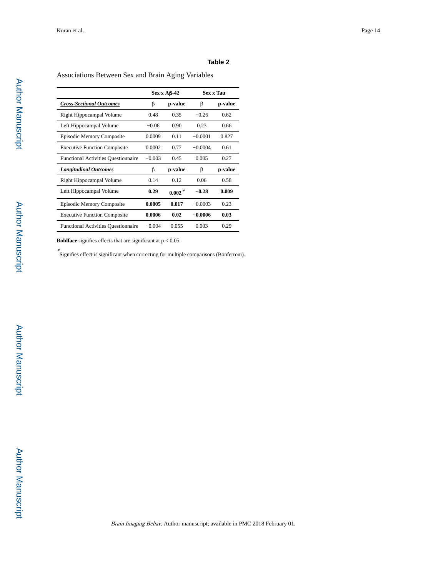#### **Table 2**

Associations Between Sex and Brain Aging Variables

|                                            | $Sex \times A\beta-42$ |          | <b>Sex x Tau</b> |         |
|--------------------------------------------|------------------------|----------|------------------|---------|
| <b>Cross-Sectional Outcomes</b>            | β                      | p-value  | β                | p-value |
| Right Hippocampal Volume                   | 0.48                   | 0.35     | $-0.26$          | 0.62    |
| Left Hippocampal Volume                    | $-0.06$                | 0.90     | 0.23             | 0.66    |
| Episodic Memory Composite                  | 0.0009                 | 0.11     | $-0.0001$        | 0.827   |
| <b>Executive Function Composite</b>        | 0.0002                 | 0.77     | $-0.0004$        | 0.61    |
| <b>Functional Activities Questionnaire</b> | $-0.003$               | 0.45     | 0.005            | 0.27    |
| <b>Longitudinal Outcomes</b>               | β                      | p-value  | β                | p-value |
| Right Hippocampal Volume                   | 0.14                   | 0.12     | 0.06             | 0.58    |
| Left Hippocampal Volume                    | 0.29                   | $0.002*$ | $-0.28$          | 0.009   |
| <b>Episodic Memory Composite</b>           | 0.0005                 | 0.017    | $-0.0003$        | 0.23    |
| <b>Executive Function Composite</b>        | 0.0006                 | 0.02     | $-0.0006$        | 0.03    |
| <b>Functional Activities Questionnaire</b> | $-0.004$               | 0.055    | 0.003            | 0.29    |

**Boldface** signifies effects that are significant at  $p < 0.05$ .

\* Signifies effect is significant when correcting for multiple comparisons (Bonferroni).